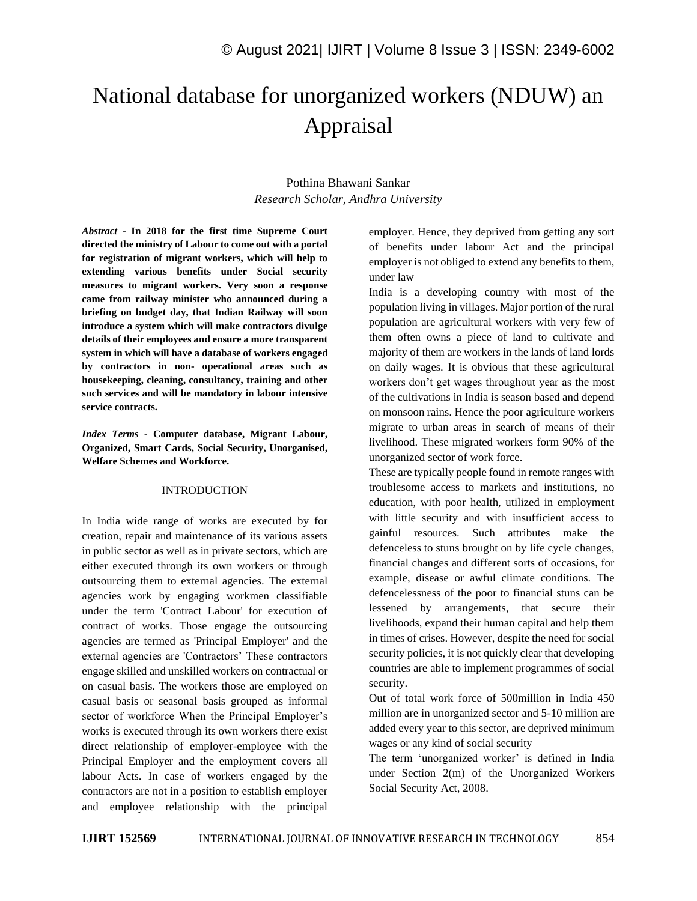# National database for unorganized workers (NDUW) an Appraisal

# Pothina Bhawani Sankar *Research Scholar, Andhra University*

*Abstract -* **In 2018 for the first time Supreme Court directed the ministry of Labour to come out with a portal for registration of migrant workers, which will help to extending various benefits under Social security measures to migrant workers. Very soon a response came from railway minister who announced during a briefing on budget day, that Indian Railway will soon introduce a system which will make contractors divulge details of their employees and ensure a more transparent system in which will have a database of workers engaged by contractors in non- operational areas such as housekeeping, cleaning, consultancy, training and other such services and will be mandatory in labour intensive service contracts.**

*Index Terms -* **Computer database, Migrant Labour, Organized, Smart Cards, Social Security, Unorganised, Welfare Schemes and Workforce.**

#### INTRODUCTION

In India wide range of works are executed by for creation, repair and maintenance of its various assets in public sector as well as in private sectors, which are either executed through its own workers or through outsourcing them to external agencies. The external agencies work by engaging workmen classifiable under the term 'Contract Labour' for execution of contract of works. Those engage the outsourcing agencies are termed as 'Principal Employer' and the external agencies are 'Contractors' These contractors engage skilled and unskilled workers on contractual or on casual basis. The workers those are employed on casual basis or seasonal basis grouped as informal sector of workforce When the Principal Employer's works is executed through its own workers there exist direct relationship of employer-employee with the Principal Employer and the employment covers all labour Acts. In case of workers engaged by the contractors are not in a position to establish employer and employee relationship with the principal

employer. Hence, they deprived from getting any sort of benefits under labour Act and the principal employer is not obliged to extend any benefits to them, under law

India is a developing country with most of the population living in villages. Major portion of the rural population are agricultural workers with very few of them often owns a piece of land to cultivate and majority of them are workers in the lands of land lords on daily wages. It is obvious that these agricultural workers don't get wages throughout year as the most of the cultivations in India is season based and depend on monsoon rains. Hence the poor agriculture workers migrate to urban areas in search of means of their livelihood. These migrated workers form 90% of the unorganized sector of work force.

These are typically people found in remote ranges with troublesome access to markets and institutions, no education, with poor health, utilized in employment with little security and with insufficient access to gainful resources. Such attributes make the defenceless to stuns brought on by life cycle changes, financial changes and different sorts of occasions, for example, disease or awful climate conditions. The defencelessness of the poor to financial stuns can be lessened by arrangements, that secure their livelihoods, expand their human capital and help them in times of crises. However, despite the need for social security policies, it is not quickly clear that developing countries are able to implement programmes of social security.

Out of total work force of 500million in India 450 million are in unorganized sector and 5-10 million are added every year to this sector, are deprived minimum wages or any kind of social security

The term 'unorganized worker' is defined in India under Section 2(m) of the Unorganized Workers Social Security Act, 2008.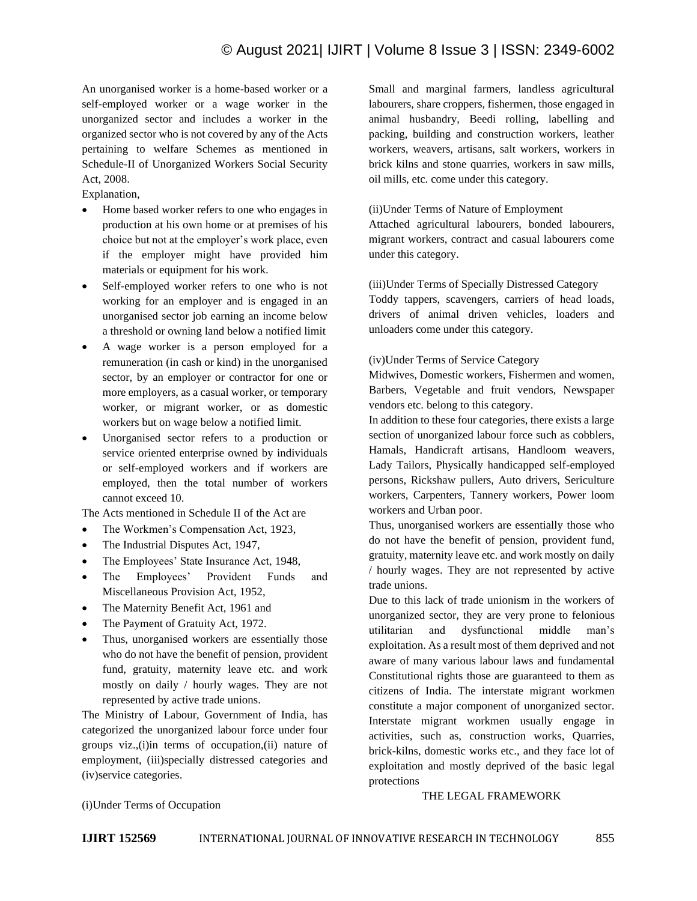# © August 2021| IJIRT | Volume 8 Issue 3 | ISSN: 2349-6002

An unorganised worker is a home-based worker or a self-employed worker or a wage worker in the unorganized sector and includes a worker in the organized sector who is not covered by any of the Acts pertaining to welfare Schemes as mentioned in Schedule-II of Unorganized Workers Social Security Act, 2008.

Explanation,

- Home based worker refers to one who engages in production at his own home or at premises of his choice but not at the employer's work place, even if the employer might have provided him materials or equipment for his work.
- Self-employed worker refers to one who is not working for an employer and is engaged in an unorganised sector job earning an income below a threshold or owning land below a notified limit
- A wage worker is a person employed for a remuneration (in cash or kind) in the unorganised sector, by an employer or contractor for one or more employers, as a casual worker, or temporary worker, or migrant worker, or as domestic workers but on wage below a notified limit.
- Unorganised sector refers to a production or service oriented enterprise owned by individuals or self-employed workers and if workers are employed, then the total number of workers cannot exceed 10.

The Acts mentioned in Schedule II of the Act are

- The Workmen's Compensation Act, 1923,
- The Industrial Disputes Act, 1947,
- The Employees' State Insurance Act, 1948,
- The Employees' Provident Funds and Miscellaneous Provision Act, 1952,
- The Maternity Benefit Act, 1961 and
- The Payment of Gratuity Act, 1972.
- Thus, unorganised workers are essentially those who do not have the benefit of pension, provident fund, gratuity, maternity leave etc. and work mostly on daily / hourly wages. They are not represented by active trade unions.

The Ministry of Labour, Government of India, has categorized the unorganized labour force under four groups viz.,(i)in terms of occupation,(ii) nature of employment, (iii)specially distressed categories and (iv)service categories.

Small and marginal farmers, landless agricultural labourers, share croppers, fishermen, those engaged in animal husbandry, Beedi rolling, labelling and packing, building and construction workers, leather workers, weavers, artisans, salt workers, workers in brick kilns and stone quarries, workers in saw mills, oil mills, etc. come under this category.

#### (ii)Under Terms of Nature of Employment

Attached agricultural labourers, bonded labourers, migrant workers, contract and casual labourers come under this category.

(iii)Under Terms of Specially Distressed Category

Toddy tappers, scavengers, carriers of head loads, drivers of animal driven vehicles, loaders and unloaders come under this category.

#### (iv)Under Terms of Service Category

Midwives, Domestic workers, Fishermen and women, Barbers, Vegetable and fruit vendors, Newspaper vendors etc. belong to this category.

In addition to these four categories, there exists a large section of unorganized labour force such as cobblers, Hamals, Handicraft artisans, Handloom weavers, Lady Tailors, Physically handicapped self-employed persons, Rickshaw pullers, Auto drivers, Sericulture workers, Carpenters, Tannery workers, Power loom workers and Urban poor.

Thus, unorganised workers are essentially those who do not have the benefit of pension, provident fund, gratuity, maternity leave etc. and work mostly on daily / hourly wages. They are not represented by active trade unions.

Due to this lack of trade unionism in the workers of unorganized sector, they are very prone to felonious utilitarian and dysfunctional middle man's exploitation. As a result most of them deprived and not aware of many various labour laws and fundamental Constitutional rights those are guaranteed to them as citizens of India. The interstate migrant workmen constitute a major component of unorganized sector. Interstate migrant workmen usually engage in activities, such as, construction works, Quarries, brick-kilns, domestic works etc., and they face lot of exploitation and mostly deprived of the basic legal protections

THE LEGAL FRAMEWORK

#### (i)Under Terms of Occupation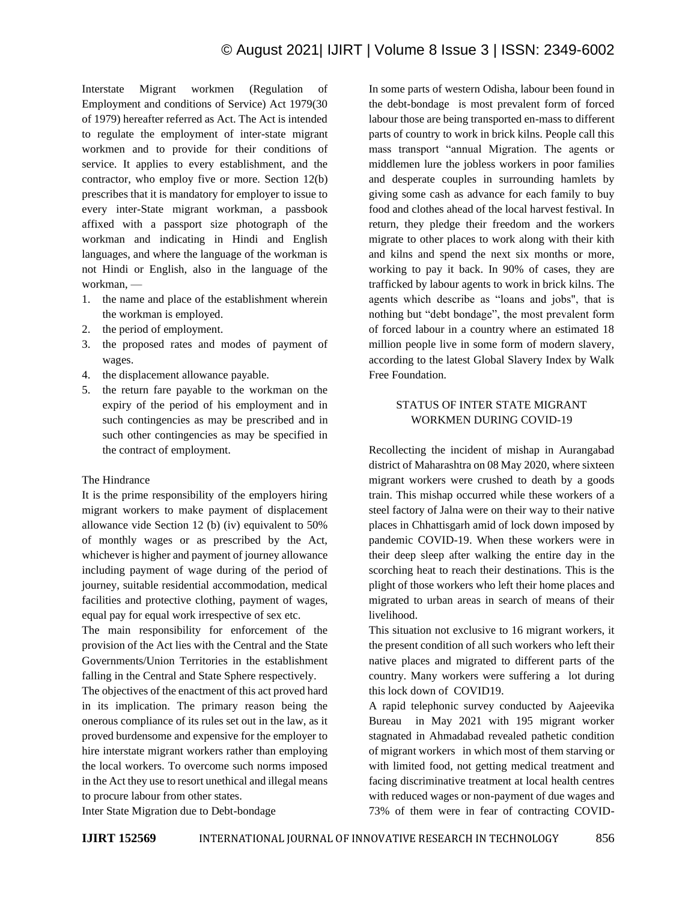Interstate Migrant workmen (Regulation of Employment and conditions of Service) Act 1979(30 of 1979) hereafter referred as Act. The Act is intended to regulate the employment of inter-state migrant workmen and to provide for their conditions of service. It applies to every establishment, and the contractor, who employ five or more. Section 12(b) prescribes that it is mandatory for employer to issue to every inter-State migrant workman, a passbook affixed with a passport size photograph of the workman and indicating in Hindi and English languages, and where the language of the workman is not Hindi or English, also in the language of the workman, —

- 1. the name and place of the establishment wherein the workman is employed.
- 2. the period of employment.
- 3. the proposed rates and modes of payment of wages.
- 4. the displacement allowance payable.
- 5. the return fare payable to the workman on the expiry of the period of his employment and in such contingencies as may be prescribed and in such other contingencies as may be specified in the contract of employment.

### The Hindrance

It is the prime responsibility of the employers hiring migrant workers to make payment of displacement allowance vide Section 12 (b) (iv) equivalent to 50% of monthly wages or as prescribed by the Act, whichever is higher and payment of journey allowance including payment of wage during of the period of journey, suitable residential accommodation, medical facilities and protective clothing, payment of wages, equal pay for equal work irrespective of sex etc.

The main responsibility for enforcement of the provision of the Act lies with the Central and the State Governments/Union Territories in the establishment falling in the Central and State Sphere respectively.

The objectives of the enactment of this act proved hard in its implication. The primary reason being the onerous compliance of its rules set out in the law, as it proved burdensome and expensive for the employer to hire interstate migrant workers rather than employing the local workers. To overcome such norms imposed in the Act they use to resort unethical and illegal means to procure labour from other states.

In some parts of western Odisha, labour been found in the debt-bondage is most prevalent form of forced labour those are being transported en-mass to different parts of country to work in brick kilns. People call this mass transport "annual Migration. The agents or middlemen lure the jobless workers in poor families and desperate couples in surrounding hamlets by giving some cash as advance for each family to buy food and clothes ahead of the local harvest festival. In return, they pledge their freedom and the workers migrate to other places to work along with their kith and kilns and spend the next six months or more, working to pay it back. In 90% of cases, they are trafficked by labour agents to work in brick kilns. The agents which describe as "loans and jobs", that is nothing but "debt bondage", the most prevalent form of forced labour in a country where an estimated 18 million people live in some form of modern slavery, according to the latest Global Slavery Index by Walk Free Foundation.

## STATUS OF INTER STATE MIGRANT WORKMEN DURING COVID-19

Recollecting the incident of mishap in Aurangabad district of Maharashtra on 08 May 2020, where sixteen migrant workers were crushed to death by a goods train. This mishap occurred while these workers of a steel factory of Jalna were on their way to their native places in Chhattisgarh amid of lock down imposed by pandemic COVID-19. When these workers were in their deep sleep after walking the entire day in the scorching heat to reach their destinations. This is the plight of those workers who left their home places and migrated to urban areas in search of means of their livelihood.

This situation not exclusive to 16 migrant workers, it the present condition of all such workers who left their native places and migrated to different parts of the country. Many workers were suffering a lot during this lock down of COVID19.

A rapid telephonic survey conducted by Aajeevika Bureau in May 2021 with 195 migrant worker stagnated in Ahmadabad revealed pathetic condition of migrant workers in which most of them starving or with limited food, not getting medical treatment and facing discriminative treatment at local health centres with reduced wages or non-payment of due wages and 73% of them were in fear of contracting COVID-

Inter State Migration due to Debt-bondage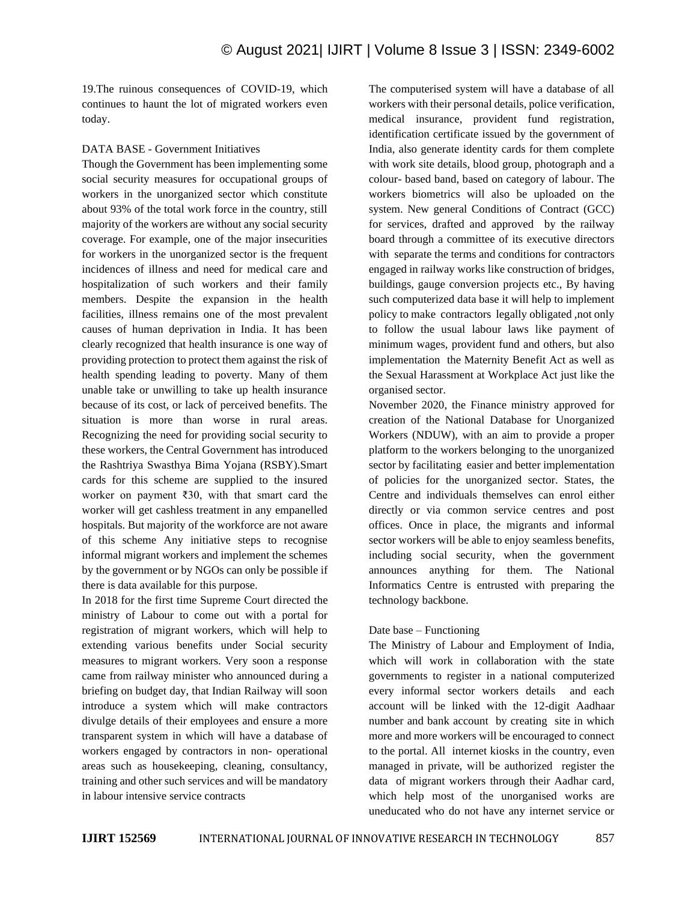19.The ruinous consequences of COVID-19, which continues to haunt the lot of migrated workers even today.

#### DATA BASE - Government Initiatives

Though the Government has been implementing some social security measures for occupational groups of workers in the unorganized sector which constitute about 93% of the total work force in the country, still majority of the workers are without any social security coverage. For example, one of the major insecurities for workers in the unorganized sector is the frequent incidences of illness and need for medical care and hospitalization of such workers and their family members. Despite the expansion in the health facilities, illness remains one of the most prevalent causes of human deprivation in India. It has been clearly recognized that health insurance is one way of providing protection to protect them against the risk of health spending leading to poverty. Many of them unable take or unwilling to take up health insurance because of its cost, or lack of perceived benefits. The situation is more than worse in rural areas. Recognizing the need for providing social security to these workers, the Central Government has introduced the Rashtriya Swasthya Bima Yojana (RSBY).Smart cards for this scheme are supplied to the insured worker on payment ₹30, with that smart card the worker will get cashless treatment in any empanelled hospitals. But majority of the workforce are not aware of this scheme Any initiative steps to recognise informal migrant workers and implement the schemes by the government or by NGOs can only be possible if there is data available for this purpose.

In 2018 for the first time Supreme Court directed the ministry of Labour to come out with a portal for registration of migrant workers, which will help to extending various benefits under Social security measures to migrant workers. Very soon a response came from railway minister who announced during a briefing on budget day, that Indian Railway will soon introduce a system which will make contractors divulge details of their employees and ensure a more transparent system in which will have a database of workers engaged by contractors in non- operational areas such as housekeeping, cleaning, consultancy, training and other such services and will be mandatory in labour intensive service contracts

The computerised system will have a database of all workers with their personal details, police verification, medical insurance, provident fund registration, identification certificate issued by the government of India, also generate identity cards for them complete with work site details, blood group, photograph and a colour- based band, based on category of labour. The workers biometrics will also be uploaded on the system. New general Conditions of Contract (GCC) for services, drafted and approved by the railway board through a committee of its executive directors with separate the terms and conditions for contractors engaged in railway works like construction of bridges, buildings, gauge conversion projects etc., By having such computerized data base it will help to implement policy to make contractors legally obligated ,not only to follow the usual labour laws like payment of minimum wages, provident fund and others, but also implementation the Maternity Benefit Act as well as the Sexual Harassment at Workplace Act just like the organised sector.

November 2020, the Finance ministry approved for creation of the National Database for Unorganized Workers (NDUW), with an aim to provide a proper platform to the workers belonging to the unorganized sector by facilitating easier and better implementation of policies for the unorganized sector. States, the Centre and individuals themselves can enrol either directly or via common service centres and post offices. Once in place, the migrants and informal sector workers will be able to enjoy seamless benefits, including social security, when the government announces anything for them. The National Informatics Centre is entrusted with preparing the technology backbone.

### Date base – Functioning

The Ministry of Labour and Employment of India, which will work in collaboration with the state governments to register in a national computerized every informal sector workers details and each account will be linked with the 12-digit Aadhaar number and bank account by creating site in which more and more workers will be encouraged to connect to the portal. All internet kiosks in the country, even managed in private, will be authorized register the data of migrant workers through their Aadhar card, which help most of the unorganised works are uneducated who do not have any internet service or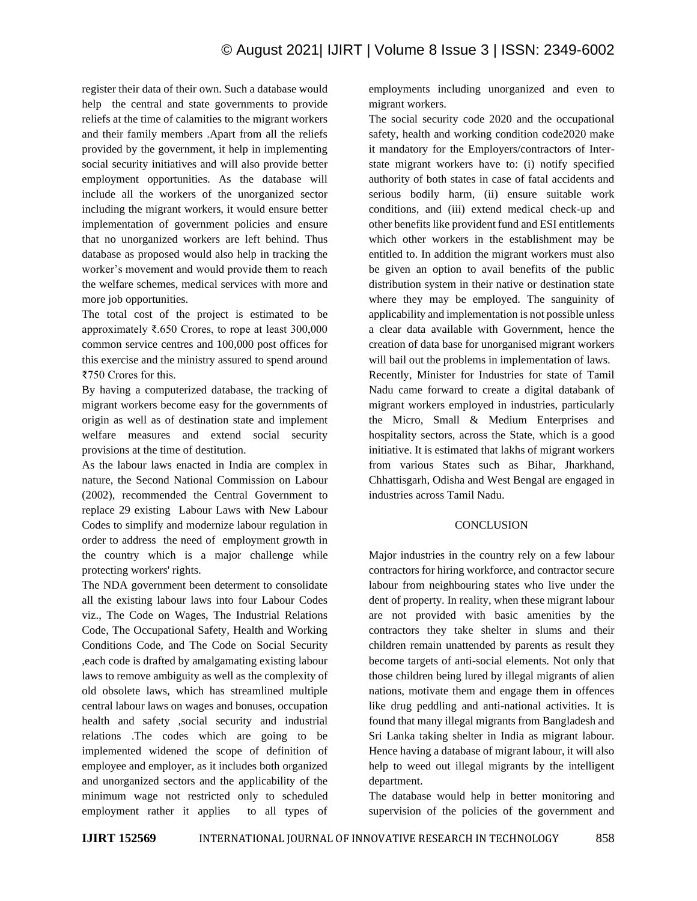register their data of their own. Such a database would help the central and state governments to provide reliefs at the time of calamities to the migrant workers and their family members .Apart from all the reliefs provided by the government, it help in implementing social security initiatives and will also provide better employment opportunities. As the database will include all the workers of the unorganized sector including the migrant workers, it would ensure better implementation of government policies and ensure that no unorganized workers are left behind. Thus database as proposed would also help in tracking the worker's movement and would provide them to reach the welfare schemes, medical services with more and more job opportunities.

The total cost of the project is estimated to be approximately ₹.650 Crores, to rope at least 300,000 common service centres and 100,000 post offices for this exercise and the ministry assured to spend around ₹750 Crores for this.

By having a computerized database, the tracking of migrant workers become easy for the governments of origin as well as of destination state and implement welfare measures and extend social security provisions at the time of destitution.

As the labour laws enacted in India are complex in nature, the Second National Commission on Labour (2002), recommended the Central Government to replace 29 existing Labour Laws with New Labour Codes to simplify and modernize labour regulation in order to address the need of employment growth in the country which is a major challenge while protecting workers' rights.

The NDA government been determent to consolidate all the existing labour laws into four Labour Codes viz., The Code on Wages, The Industrial Relations Code, The Occupational Safety, Health and Working Conditions Code, and The Code on Social Security ,each code is drafted by amalgamating existing labour laws to remove ambiguity as well as the complexity of old obsolete laws, which has streamlined multiple central labour laws on wages and bonuses, occupation health and safety ,social security and industrial relations .The codes which are going to be implemented widened the scope of definition of employee and employer, as it includes both organized and unorganized sectors and the applicability of the minimum wage not restricted only to scheduled employment rather it applies to all types of employments including unorganized and even to migrant workers.

The social security code 2020 and the occupational safety, health and working condition code2020 make it mandatory for the Employers/contractors of Interstate migrant workers have to: (i) notify specified authority of both states in case of fatal accidents and serious bodily harm, (ii) ensure suitable work conditions, and (iii) extend medical check-up and other benefits like provident fund and ESI entitlements which other workers in the establishment may be entitled to. In addition the migrant workers must also be given an option to avail benefits of the public distribution system in their native or destination state where they may be employed. The sanguinity of applicability and implementation is not possible unless a clear data available with Government, hence the creation of data base for unorganised migrant workers will bail out the problems in implementation of laws. Recently, Minister for Industries for state of Tamil

Nadu came forward to create a digital databank of migrant workers employed in industries, particularly the Micro, Small & Medium Enterprises and hospitality sectors, across the State, which is a good initiative. It is estimated that lakhs of migrant workers from various States such as Bihar, Jharkhand, Chhattisgarh, Odisha and West Bengal are engaged in industries across Tamil Nadu.

### **CONCLUSION**

Major industries in the country rely on a few labour contractors for hiring workforce, and contractor secure labour from neighbouring states who live under the dent of property. In reality, when these migrant labour are not provided with basic amenities by the contractors they take shelter in slums and their children remain unattended by parents as result they become targets of anti-social elements. Not only that those children being lured by illegal migrants of alien nations, motivate them and engage them in offences like drug peddling and anti-national activities. It is found that many illegal migrants from Bangladesh and Sri Lanka taking shelter in India as migrant labour. Hence having a database of migrant labour, it will also help to weed out illegal migrants by the intelligent department.

The database would help in better monitoring and supervision of the policies of the government and